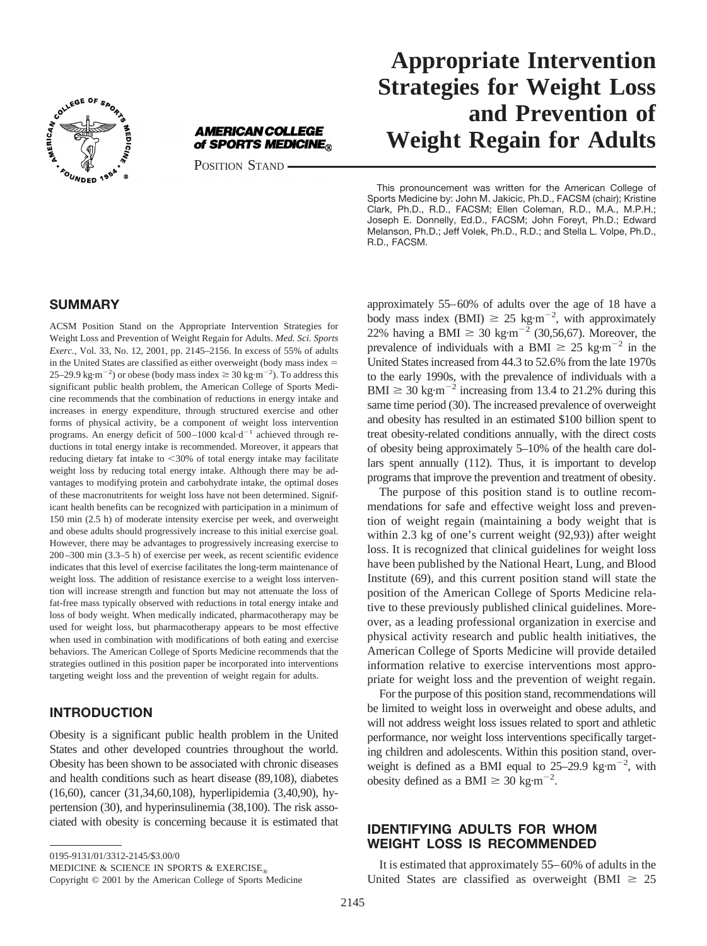

#### **AMERICAN COLLEGE** of SPORTS MEDICINE<sub>®</sub>

POSITION STAND -

# **Appropriate Intervention Strategies for Weight Loss and Prevention of Weight Regain for Adults**

This pronouncement was written for the American College of Sports Medicine by: John M. Jakicic, Ph.D., FACSM (chair); Kristine Clark, Ph.D., R.D., FACSM; Ellen Coleman, R.D., M.A., M.P.H.; Joseph E. Donnelly, Ed.D., FACSM; John Foreyt, Ph.D.; Edward Melanson, Ph.D.; Jeff Volek, Ph.D., R.D.; and Stella L. Volpe, Ph.D., R.D., FACSM.

approximately 55–60% of adults over the age of 18 have a body mass index (BMI)  $\geq 25$  kg·m<sup>-2</sup>, with approximately 22% having a BMI  $\geq 30 \text{ kg} \cdot \text{m}^{-2}$  (30,56,67). Moreover, the prevalence of individuals with a BMI  $\geq 25$  kg·m<sup>-2</sup> in the United States increased from 44.3 to 52.6% from the late 1970s to the early 1990s, with the prevalence of individuals with a BMI  $\geq 30 \text{ kg} \cdot \text{m}^{-2}$  increasing from 13.4 to 21.2% during this same time period (30). The increased prevalence of overweight and obesity has resulted in an estimated \$100 billion spent to treat obesity-related conditions annually, with the direct costs of obesity being approximately 5–10% of the health care dollars spent annually (112). Thus, it is important to develop programs that improve the prevention and treatment of obesity.

The purpose of this position stand is to outline recommendations for safe and effective weight loss and prevention of weight regain (maintaining a body weight that is within 2.3 kg of one's current weight (92,93)) after weight loss. It is recognized that clinical guidelines for weight loss have been published by the National Heart, Lung, and Blood Institute (69), and this current position stand will state the position of the American College of Sports Medicine relative to these previously published clinical guidelines. Moreover, as a leading professional organization in exercise and physical activity research and public health initiatives, the American College of Sports Medicine will provide detailed information relative to exercise interventions most appropriate for weight loss and the prevention of weight regain.

For the purpose of this position stand, recommendations will be limited to weight loss in overweight and obese adults, and will not address weight loss issues related to sport and athletic performance, nor weight loss interventions specifically targeting children and adolescents. Within this position stand, overweight is defined as a BMI equal to  $25-29.9$  kg·m<sup>-2</sup>, with obesity defined as a BMI  $\geq 30 \text{ kg} \cdot \text{m}^{-2}$ .

# **IDENTIFYING ADULTS FOR WHOM WEIGHT LOSS IS RECOMMENDED**

It is estimated that approximately 55–60% of adults in the United States are classified as overweight (BMI  $\geq 25$ )

#### **SUMMARY**

ACSM Position Stand on the Appropriate Intervention Strategies for Weight Loss and Prevention of Weight Regain for Adults. *Med. Sci. Sports Exerc.*, Vol. 33, No. 12, 2001, pp. 2145–2156. In excess of 55% of adults in the United States are classified as either overweight (body mass index  $=$ 25–29.9 kg·m<sup>-2</sup>) or obese (body mass index  $\geq$  30 kg·m<sup>-2</sup>). To address this significant public health problem, the American College of Sports Medicine recommends that the combination of reductions in energy intake and increases in energy expenditure, through structured exercise and other forms of physical activity, be a component of weight loss intervention programs. An energy deficit of  $500-1000$  kcal·d<sup>-1</sup> achieved through reductions in total energy intake is recommended. Moreover, it appears that reducing dietary fat intake to 30% of total energy intake may facilitate weight loss by reducing total energy intake. Although there may be advantages to modifying protein and carbohydrate intake, the optimal doses of these macronutritents for weight loss have not been determined. Significant health benefits can be recognized with participation in a minimum of 150 min (2.5 h) of moderate intensity exercise per week, and overweight and obese adults should progressively increase to this initial exercise goal. However, there may be advantages to progressively increasing exercise to 200–300 min (3.3–5 h) of exercise per week, as recent scientific evidence indicates that this level of exercise facilitates the long-term maintenance of weight loss. The addition of resistance exercise to a weight loss intervention will increase strength and function but may not attenuate the loss of fat-free mass typically observed with reductions in total energy intake and loss of body weight. When medically indicated, pharmacotherapy may be used for weight loss, but pharmacotherapy appears to be most effective when used in combination with modifications of both eating and exercise behaviors. The American College of Sports Medicine recommends that the strategies outlined in this position paper be incorporated into interventions targeting weight loss and the prevention of weight regain for adults.

### **INTRODUCTION**

Obesity is a significant public health problem in the United States and other developed countries throughout the world. Obesity has been shown to be associated with chronic diseases and health conditions such as heart disease (89,108), diabetes (16,60), cancer (31,34,60,108), hyperlipidemia (3,40,90), hypertension (30), and hyperinsulinemia (38,100). The risk associated with obesity is concerning because it is estimated that

0195-9131/01/3312-2145/\$3.00/0

MEDICINE & SCIENCE IN SPORTS & EXERCISE<sup>®</sup>

Copyright © 2001 by the American College of Sports Medicine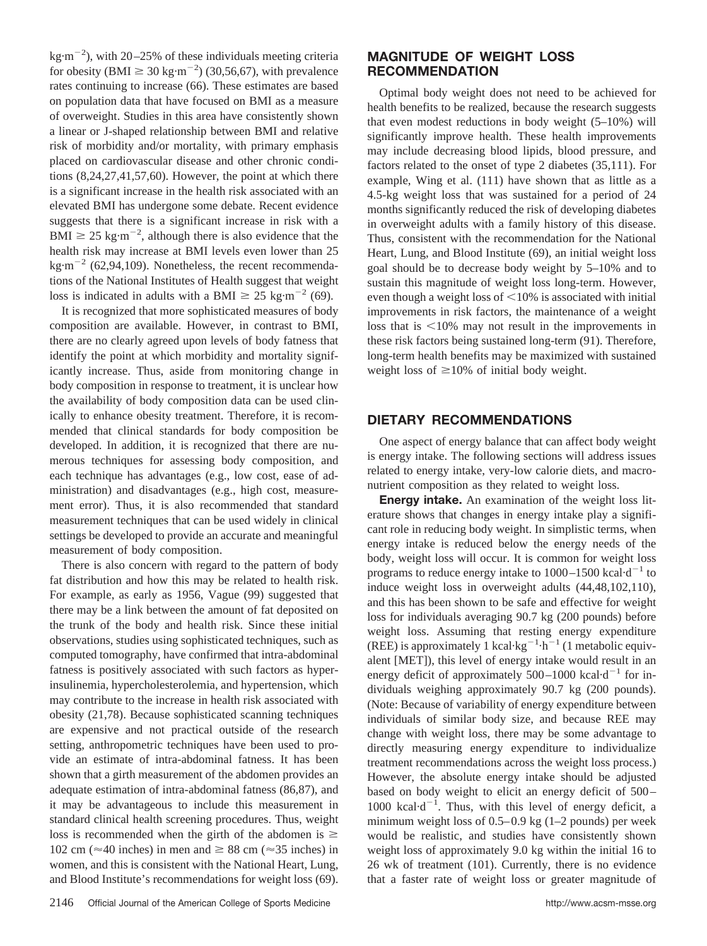$kg·m^{-2}$ ), with 20–25% of these individuals meeting criteria for obesity (BMI  $\geq 30 \text{ kg} \cdot \text{m}^{-2}$ ) (30,56,67), with prevalence rates continuing to increase (66). These estimates are based on population data that have focused on BMI as a measure of overweight. Studies in this area have consistently shown a linear or J-shaped relationship between BMI and relative risk of morbidity and/or mortality, with primary emphasis placed on cardiovascular disease and other chronic conditions (8,24,27,41,57,60). However, the point at which there is a significant increase in the health risk associated with an elevated BMI has undergone some debate. Recent evidence suggests that there is a significant increase in risk with a BMI  $\geq 25 \text{ kg} \cdot \text{m}^{-2}$ , although there is also evidence that the health risk may increase at BMI levels even lower than 25  $\text{kg}\cdot\text{m}^{-2}$  (62,94,109). Nonetheless, the recent recommendations of the National Institutes of Health suggest that weight loss is indicated in adults with a BMI  $\geq 25 \text{ kg} \cdot \text{m}^{-2}$  (69).

It is recognized that more sophisticated measures of body composition are available. However, in contrast to BMI, there are no clearly agreed upon levels of body fatness that identify the point at which morbidity and mortality significantly increase. Thus, aside from monitoring change in body composition in response to treatment, it is unclear how the availability of body composition data can be used clinically to enhance obesity treatment. Therefore, it is recommended that clinical standards for body composition be developed. In addition, it is recognized that there are numerous techniques for assessing body composition, and each technique has advantages (e.g., low cost, ease of administration) and disadvantages (e.g., high cost, measurement error). Thus, it is also recommended that standard measurement techniques that can be used widely in clinical settings be developed to provide an accurate and meaningful measurement of body composition.

There is also concern with regard to the pattern of body fat distribution and how this may be related to health risk. For example, as early as 1956, Vague (99) suggested that there may be a link between the amount of fat deposited on the trunk of the body and health risk. Since these initial observations, studies using sophisticated techniques, such as computed tomography, have confirmed that intra-abdominal fatness is positively associated with such factors as hyperinsulinemia, hypercholesterolemia, and hypertension, which may contribute to the increase in health risk associated with obesity (21,78). Because sophisticated scanning techniques are expensive and not practical outside of the research setting, anthropometric techniques have been used to provide an estimate of intra-abdominal fatness. It has been shown that a girth measurement of the abdomen provides an adequate estimation of intra-abdominal fatness (86,87), and it may be advantageous to include this measurement in standard clinical health screening procedures. Thus, weight loss is recommended when the girth of the abdomen is  $\geq$ 102 cm ( $\approx$ 40 inches) in men and  $\geq$  88 cm ( $\approx$ 35 inches) in women, and this is consistent with the National Heart, Lung, and Blood Institute's recommendations for weight loss (69).

### **MAGNITUDE OF WEIGHT LOSS RECOMMENDATION**

Optimal body weight does not need to be achieved for health benefits to be realized, because the research suggests that even modest reductions in body weight (5–10%) will significantly improve health. These health improvements may include decreasing blood lipids, blood pressure, and factors related to the onset of type 2 diabetes (35,111). For example, Wing et al. (111) have shown that as little as a 4.5-kg weight loss that was sustained for a period of 24 months significantly reduced the risk of developing diabetes in overweight adults with a family history of this disease. Thus, consistent with the recommendation for the National Heart, Lung, and Blood Institute (69), an initial weight loss goal should be to decrease body weight by 5–10% and to sustain this magnitude of weight loss long-term. However, even though a weight loss of  $\leq 10\%$  is associated with initial improvements in risk factors, the maintenance of a weight loss that is  $< 10\%$  may not result in the improvements in these risk factors being sustained long-term (91). Therefore, long-term health benefits may be maximized with sustained weight loss of  $\geq 10\%$  of initial body weight.

# **DIETARY RECOMMENDATIONS**

One aspect of energy balance that can affect body weight is energy intake. The following sections will address issues related to energy intake, very-low calorie diets, and macronutrient composition as they related to weight loss.

**Energy intake.** An examination of the weight loss literature shows that changes in energy intake play a significant role in reducing body weight. In simplistic terms, when energy intake is reduced below the energy needs of the body, weight loss will occur. It is common for weight loss programs to reduce energy intake to  $1000-1500$  kcal $\cdot$ d<sup>-1</sup> to induce weight loss in overweight adults (44,48,102,110), and this has been shown to be safe and effective for weight loss for individuals averaging 90.7 kg (200 pounds) before weight loss. Assuming that resting energy expenditure (REE) is approximately 1 kcal·kg<sup>-1</sup>·h<sup>-1</sup> (1 metabolic equivalent [MET]), this level of energy intake would result in an energy deficit of approximately  $500-1000$  kcal·d<sup>-1</sup> for individuals weighing approximately 90.7 kg (200 pounds). (Note: Because of variability of energy expenditure between individuals of similar body size, and because REE may change with weight loss, there may be some advantage to directly measuring energy expenditure to individualize treatment recommendations across the weight loss process.) However, the absolute energy intake should be adjusted based on body weight to elicit an energy deficit of 500– 1000 kcal $d^{-1}$ . Thus, with this level of energy deficit, a minimum weight loss of 0.5–0.9 kg (1–2 pounds) per week would be realistic, and studies have consistently shown weight loss of approximately 9.0 kg within the initial 16 to 26 wk of treatment (101). Currently, there is no evidence that a faster rate of weight loss or greater magnitude of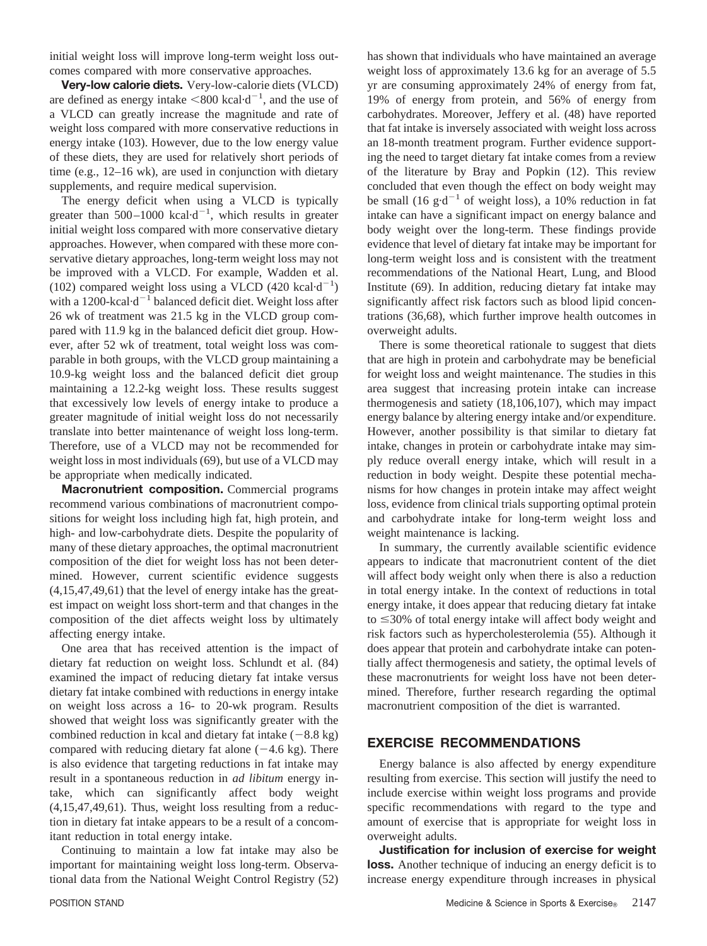initial weight loss will improve long-term weight loss outcomes compared with more conservative approaches.

**Very-low calorie diets.** Very-low-calorie diets (VLCD) are defined as energy intake  $\leq 800$  kcal·d<sup>-1</sup>, and the use of a VLCD can greatly increase the magnitude and rate of weight loss compared with more conservative reductions in energy intake (103). However, due to the low energy value of these diets, they are used for relatively short periods of time (e.g., 12–16 wk), are used in conjunction with dietary supplements, and require medical supervision.

The energy deficit when using a VLCD is typically greater than  $500-1000$  kcal·d<sup>-1</sup>, which results in greater initial weight loss compared with more conservative dietary approaches. However, when compared with these more conservative dietary approaches, long-term weight loss may not be improved with a VLCD. For example, Wadden et al. (102) compared weight loss using a VLCD (420 kcal·d<sup>-1</sup>) with a 1200-kcal $\cdot$ d<sup>-1</sup> balanced deficit diet. Weight loss after 26 wk of treatment was 21.5 kg in the VLCD group compared with 11.9 kg in the balanced deficit diet group. However, after 52 wk of treatment, total weight loss was comparable in both groups, with the VLCD group maintaining a 10.9-kg weight loss and the balanced deficit diet group maintaining a 12.2-kg weight loss. These results suggest that excessively low levels of energy intake to produce a greater magnitude of initial weight loss do not necessarily translate into better maintenance of weight loss long-term. Therefore, use of a VLCD may not be recommended for weight loss in most individuals (69), but use of a VLCD may be appropriate when medically indicated.

**Macronutrient composition.** Commercial programs recommend various combinations of macronutrient compositions for weight loss including high fat, high protein, and high- and low-carbohydrate diets. Despite the popularity of many of these dietary approaches, the optimal macronutrient composition of the diet for weight loss has not been determined. However, current scientific evidence suggests (4,15,47,49,61) that the level of energy intake has the greatest impact on weight loss short-term and that changes in the composition of the diet affects weight loss by ultimately affecting energy intake.

One area that has received attention is the impact of dietary fat reduction on weight loss. Schlundt et al. (84) examined the impact of reducing dietary fat intake versus dietary fat intake combined with reductions in energy intake on weight loss across a 16- to 20-wk program. Results showed that weight loss was significantly greater with the combined reduction in kcal and dietary fat intake  $(-8.8 \text{ kg})$ compared with reducing dietary fat alone  $(-4.6 \text{ kg})$ . There is also evidence that targeting reductions in fat intake may result in a spontaneous reduction in *ad libitum* energy intake, which can significantly affect body weight (4,15,47,49,61). Thus, weight loss resulting from a reduction in dietary fat intake appears to be a result of a concomitant reduction in total energy intake.

Continuing to maintain a low fat intake may also be important for maintaining weight loss long-term. Observational data from the National Weight Control Registry (52) has shown that individuals who have maintained an average weight loss of approximately 13.6 kg for an average of 5.5 yr are consuming approximately 24% of energy from fat, 19% of energy from protein, and 56% of energy from carbohydrates. Moreover, Jeffery et al. (48) have reported that fat intake is inversely associated with weight loss across an 18-month treatment program. Further evidence supporting the need to target dietary fat intake comes from a review of the literature by Bray and Popkin (12). This review concluded that even though the effect on body weight may be small  $(16 \text{ g} \cdot \text{d}^{-1}$  of weight loss), a 10% reduction in fat intake can have a significant impact on energy balance and body weight over the long-term. These findings provide evidence that level of dietary fat intake may be important for long-term weight loss and is consistent with the treatment recommendations of the National Heart, Lung, and Blood Institute (69). In addition, reducing dietary fat intake may significantly affect risk factors such as blood lipid concentrations (36,68), which further improve health outcomes in overweight adults.

There is some theoretical rationale to suggest that diets that are high in protein and carbohydrate may be beneficial for weight loss and weight maintenance. The studies in this area suggest that increasing protein intake can increase thermogenesis and satiety (18,106,107), which may impact energy balance by altering energy intake and/or expenditure. However, another possibility is that similar to dietary fat intake, changes in protein or carbohydrate intake may simply reduce overall energy intake, which will result in a reduction in body weight. Despite these potential mechanisms for how changes in protein intake may affect weight loss, evidence from clinical trials supporting optimal protein and carbohydrate intake for long-term weight loss and weight maintenance is lacking.

In summary, the currently available scientific evidence appears to indicate that macronutrient content of the diet will affect body weight only when there is also a reduction in total energy intake. In the context of reductions in total energy intake, it does appear that reducing dietary fat intake to  $\leq$ 30% of total energy intake will affect body weight and risk factors such as hypercholesterolemia (55). Although it does appear that protein and carbohydrate intake can potentially affect thermogenesis and satiety, the optimal levels of these macronutrients for weight loss have not been determined. Therefore, further research regarding the optimal macronutrient composition of the diet is warranted.

### **EXERCISE RECOMMENDATIONS**

Energy balance is also affected by energy expenditure resulting from exercise. This section will justify the need to include exercise within weight loss programs and provide specific recommendations with regard to the type and amount of exercise that is appropriate for weight loss in overweight adults.

**Justification for inclusion of exercise for weight loss.** Another technique of inducing an energy deficit is to increase energy expenditure through increases in physical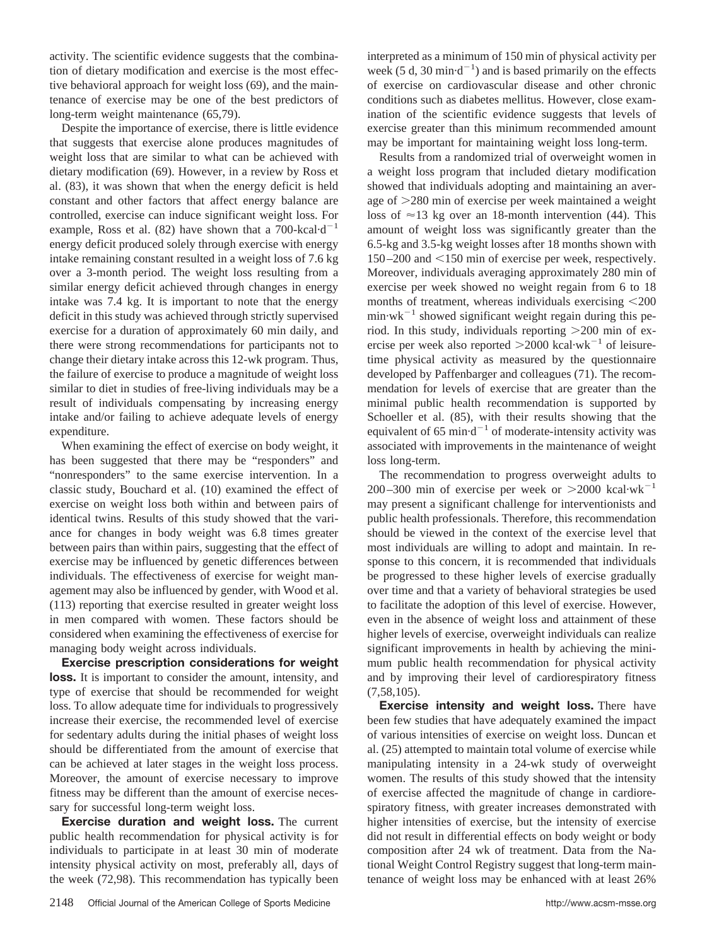activity. The scientific evidence suggests that the combination of dietary modification and exercise is the most effective behavioral approach for weight loss (69), and the maintenance of exercise may be one of the best predictors of long-term weight maintenance (65,79).

Despite the importance of exercise, there is little evidence that suggests that exercise alone produces magnitudes of weight loss that are similar to what can be achieved with dietary modification (69). However, in a review by Ross et al. (83), it was shown that when the energy deficit is held constant and other factors that affect energy balance are controlled, exercise can induce significant weight loss. For example, Ross et al. (82) have shown that a  $700$ -kcal·d<sup>-1</sup> energy deficit produced solely through exercise with energy intake remaining constant resulted in a weight loss of 7.6 kg over a 3-month period. The weight loss resulting from a similar energy deficit achieved through changes in energy intake was 7.4 kg. It is important to note that the energy deficit in this study was achieved through strictly supervised exercise for a duration of approximately 60 min daily, and there were strong recommendations for participants not to change their dietary intake across this 12-wk program. Thus, the failure of exercise to produce a magnitude of weight loss similar to diet in studies of free-living individuals may be a result of individuals compensating by increasing energy intake and/or failing to achieve adequate levels of energy expenditure.

When examining the effect of exercise on body weight, it has been suggested that there may be "responders" and "nonresponders" to the same exercise intervention. In a classic study, Bouchard et al. (10) examined the effect of exercise on weight loss both within and between pairs of identical twins. Results of this study showed that the variance for changes in body weight was 6.8 times greater between pairs than within pairs, suggesting that the effect of exercise may be influenced by genetic differences between individuals. The effectiveness of exercise for weight management may also be influenced by gender, with Wood et al. (113) reporting that exercise resulted in greater weight loss in men compared with women. These factors should be considered when examining the effectiveness of exercise for managing body weight across individuals.

**Exercise prescription considerations for weight loss.** It is important to consider the amount, intensity, and type of exercise that should be recommended for weight loss. To allow adequate time for individuals to progressively increase their exercise, the recommended level of exercise for sedentary adults during the initial phases of weight loss should be differentiated from the amount of exercise that can be achieved at later stages in the weight loss process. Moreover, the amount of exercise necessary to improve fitness may be different than the amount of exercise necessary for successful long-term weight loss.

**Exercise duration and weight loss.** The current public health recommendation for physical activity is for individuals to participate in at least 30 min of moderate intensity physical activity on most, preferably all, days of the week (72,98). This recommendation has typically been

interpreted as a minimum of 150 min of physical activity per week (5 d, 30 min $\cdot$ d<sup>-1</sup>) and is based primarily on the effects of exercise on cardiovascular disease and other chronic conditions such as diabetes mellitus. However, close examination of the scientific evidence suggests that levels of exercise greater than this minimum recommended amount may be important for maintaining weight loss long-term.

Results from a randomized trial of overweight women in a weight loss program that included dietary modification showed that individuals adopting and maintaining an average of 280 min of exercise per week maintained a weight loss of  $\approx$ 13 kg over an 18-month intervention (44). This amount of weight loss was significantly greater than the 6.5-kg and 3.5-kg weight losses after 18 months shown with  $150-200$  and  $\leq 150$  min of exercise per week, respectively. Moreover, individuals averaging approximately 280 min of exercise per week showed no weight regain from 6 to 18 months of treatment, whereas individuals exercising  $\leq 200$ min·wk<sup>-1</sup> showed significant weight regain during this period. In this study, individuals reporting  $>200$  min of exercise per week also reported  $>$  2000 kcal·wk<sup>-1</sup> of leisuretime physical activity as measured by the questionnaire developed by Paffenbarger and colleagues (71). The recommendation for levels of exercise that are greater than the minimal public health recommendation is supported by Schoeller et al. (85), with their results showing that the equivalent of 65 min $\cdot d^{-1}$  of moderate-intensity activity was associated with improvements in the maintenance of weight loss long-term.

The recommendation to progress overweight adults to 200–300 min of exercise per week or  $>$  2000 kcal·wk<sup>-1</sup> may present a significant challenge for interventionists and public health professionals. Therefore, this recommendation should be viewed in the context of the exercise level that most individuals are willing to adopt and maintain. In response to this concern, it is recommended that individuals be progressed to these higher levels of exercise gradually over time and that a variety of behavioral strategies be used to facilitate the adoption of this level of exercise. However, even in the absence of weight loss and attainment of these higher levels of exercise, overweight individuals can realize significant improvements in health by achieving the minimum public health recommendation for physical activity and by improving their level of cardiorespiratory fitness  $(7,58,105)$ .

**Exercise intensity and weight loss.** There have been few studies that have adequately examined the impact of various intensities of exercise on weight loss. Duncan et al. (25) attempted to maintain total volume of exercise while manipulating intensity in a 24-wk study of overweight women. The results of this study showed that the intensity of exercise affected the magnitude of change in cardiorespiratory fitness, with greater increases demonstrated with higher intensities of exercise, but the intensity of exercise did not result in differential effects on body weight or body composition after 24 wk of treatment. Data from the National Weight Control Registry suggest that long-term maintenance of weight loss may be enhanced with at least 26%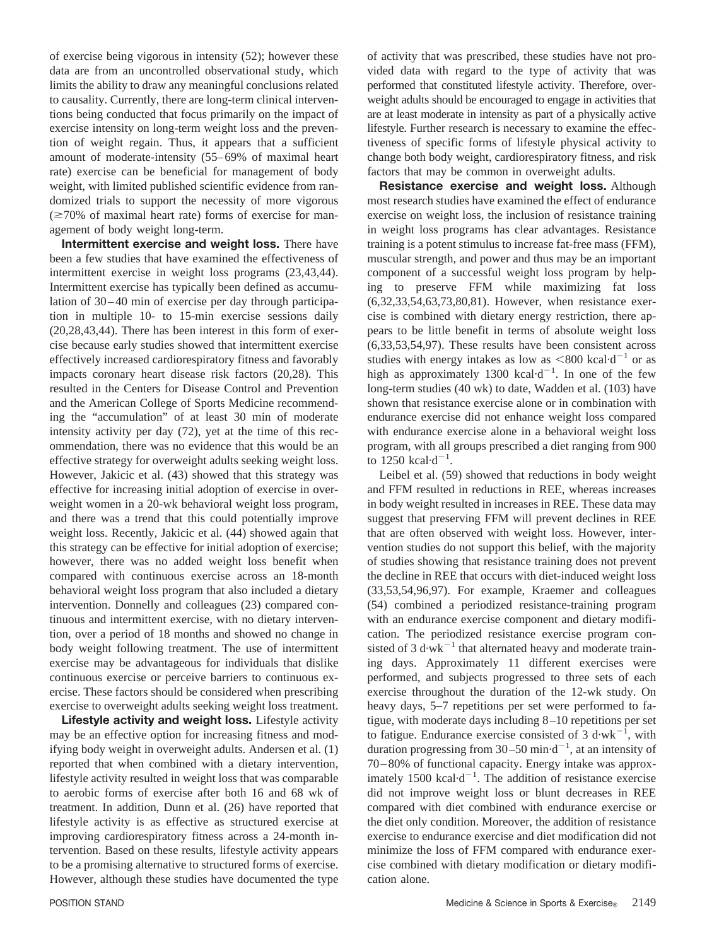of exercise being vigorous in intensity (52); however these data are from an uncontrolled observational study, which limits the ability to draw any meaningful conclusions related to causality. Currently, there are long-term clinical interventions being conducted that focus primarily on the impact of exercise intensity on long-term weight loss and the prevention of weight regain. Thus, it appears that a sufficient amount of moderate-intensity (55–69% of maximal heart rate) exercise can be beneficial for management of body weight, with limited published scientific evidence from randomized trials to support the necessity of more vigorous  $(\geq 70\%$  of maximal heart rate) forms of exercise for management of body weight long-term.

**Intermittent exercise and weight loss.** There have been a few studies that have examined the effectiveness of intermittent exercise in weight loss programs (23,43,44). Intermittent exercise has typically been defined as accumulation of 30–40 min of exercise per day through participation in multiple 10- to 15-min exercise sessions daily (20,28,43,44). There has been interest in this form of exercise because early studies showed that intermittent exercise effectively increased cardiorespiratory fitness and favorably impacts coronary heart disease risk factors (20,28). This resulted in the Centers for Disease Control and Prevention and the American College of Sports Medicine recommending the "accumulation" of at least 30 min of moderate intensity activity per day (72), yet at the time of this recommendation, there was no evidence that this would be an effective strategy for overweight adults seeking weight loss. However, Jakicic et al. (43) showed that this strategy was effective for increasing initial adoption of exercise in overweight women in a 20-wk behavioral weight loss program, and there was a trend that this could potentially improve weight loss. Recently, Jakicic et al. (44) showed again that this strategy can be effective for initial adoption of exercise; however, there was no added weight loss benefit when compared with continuous exercise across an 18-month behavioral weight loss program that also included a dietary intervention. Donnelly and colleagues (23) compared continuous and intermittent exercise, with no dietary intervention, over a period of 18 months and showed no change in body weight following treatment. The use of intermittent exercise may be advantageous for individuals that dislike continuous exercise or perceive barriers to continuous exercise. These factors should be considered when prescribing exercise to overweight adults seeking weight loss treatment.

**Lifestyle activity and weight loss.** Lifestyle activity may be an effective option for increasing fitness and modifying body weight in overweight adults. Andersen et al. (1) reported that when combined with a dietary intervention, lifestyle activity resulted in weight loss that was comparable to aerobic forms of exercise after both 16 and 68 wk of treatment. In addition, Dunn et al. (26) have reported that lifestyle activity is as effective as structured exercise at improving cardiorespiratory fitness across a 24-month intervention. Based on these results, lifestyle activity appears to be a promising alternative to structured forms of exercise. However, although these studies have documented the type

of activity that was prescribed, these studies have not provided data with regard to the type of activity that was performed that constituted lifestyle activity. Therefore, overweight adults should be encouraged to engage in activities that are at least moderate in intensity as part of a physically active lifestyle. Further research is necessary to examine the effectiveness of specific forms of lifestyle physical activity to change both body weight, cardiorespiratory fitness, and risk factors that may be common in overweight adults.

**Resistance exercise and weight loss.** Although most research studies have examined the effect of endurance exercise on weight loss, the inclusion of resistance training in weight loss programs has clear advantages. Resistance training is a potent stimulus to increase fat-free mass (FFM), muscular strength, and power and thus may be an important component of a successful weight loss program by helping to preserve FFM while maximizing fat loss (6,32,33,54,63,73,80,81). However, when resistance exercise is combined with dietary energy restriction, there appears to be little benefit in terms of absolute weight loss (6,33,53,54,97). These results have been consistent across studies with energy intakes as low as  $<800$  kcal·d<sup>-1</sup> or as high as approximately 1300 kcal $\cdot d^{-1}$ . In one of the few long-term studies (40 wk) to date, Wadden et al. (103) have shown that resistance exercise alone or in combination with endurance exercise did not enhance weight loss compared with endurance exercise alone in a behavioral weight loss program, with all groups prescribed a diet ranging from 900 to  $1250 \text{ kcal} \cdot d^{-1}$ .

Leibel et al. (59) showed that reductions in body weight and FFM resulted in reductions in REE, whereas increases in body weight resulted in increases in REE. These data may suggest that preserving FFM will prevent declines in REE that are often observed with weight loss. However, intervention studies do not support this belief, with the majority of studies showing that resistance training does not prevent the decline in REE that occurs with diet-induced weight loss (33,53,54,96,97). For example, Kraemer and colleagues (54) combined a periodized resistance-training program with an endurance exercise component and dietary modification. The periodized resistance exercise program consisted of 3  $d\cdot$ wk<sup>-1</sup> that alternated heavy and moderate training days. Approximately 11 different exercises were performed, and subjects progressed to three sets of each exercise throughout the duration of the 12-wk study. On heavy days, 5–7 repetitions per set were performed to fatigue, with moderate days including 8–10 repetitions per set to fatigue. Endurance exercise consisted of  $3 \text{ d·wk}^{-1}$ , with duration progressing from  $30-50$  min $\cdot d^{-1}$ , at an intensity of 70–80% of functional capacity. Energy intake was approximately  $1500 \text{ kcal} \cdot d^{-1}$ . The addition of resistance exercise did not improve weight loss or blunt decreases in REE compared with diet combined with endurance exercise or the diet only condition. Moreover, the addition of resistance exercise to endurance exercise and diet modification did not minimize the loss of FFM compared with endurance exercise combined with dietary modification or dietary modification alone.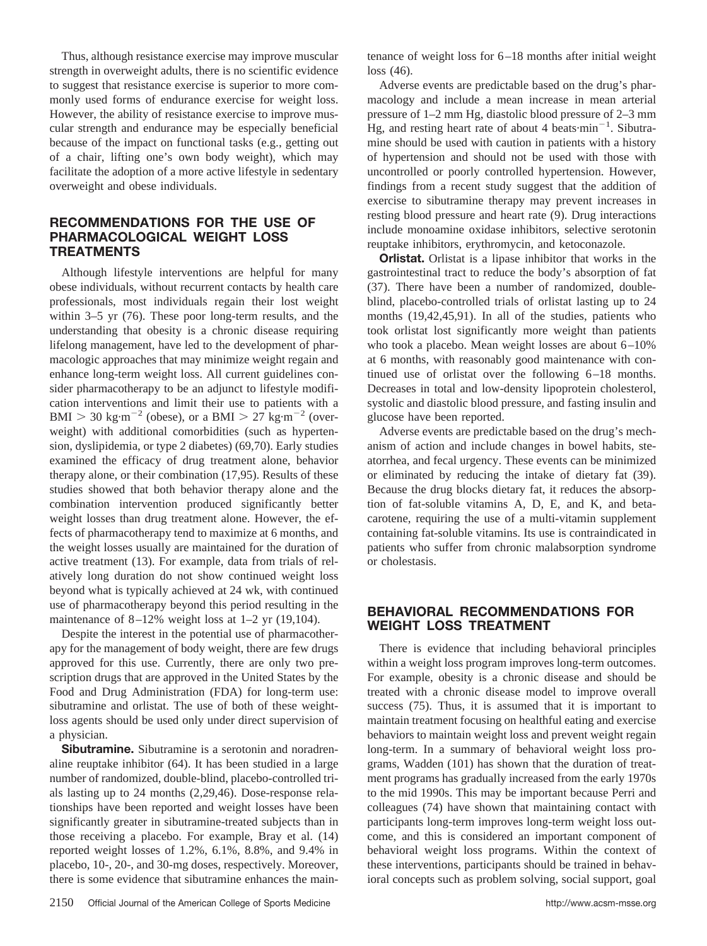Thus, although resistance exercise may improve muscular strength in overweight adults, there is no scientific evidence to suggest that resistance exercise is superior to more commonly used forms of endurance exercise for weight loss. However, the ability of resistance exercise to improve muscular strength and endurance may be especially beneficial because of the impact on functional tasks (e.g., getting out of a chair, lifting one's own body weight), which may facilitate the adoption of a more active lifestyle in sedentary overweight and obese individuals.

#### **RECOMMENDATIONS FOR THE USE OF PHARMACOLOGICAL WEIGHT LOSS TREATMENTS**

Although lifestyle interventions are helpful for many obese individuals, without recurrent contacts by health care professionals, most individuals regain their lost weight within 3–5 yr (76). These poor long-term results, and the understanding that obesity is a chronic disease requiring lifelong management, have led to the development of pharmacologic approaches that may minimize weight regain and enhance long-term weight loss. All current guidelines consider pharmacotherapy to be an adjunct to lifestyle modification interventions and limit their use to patients with a BMI > 30 kg·m<sup>-2</sup> (obese), or a BMI > 27 kg·m<sup>-2</sup> (overweight) with additional comorbidities (such as hypertension, dyslipidemia, or type 2 diabetes) (69,70). Early studies examined the efficacy of drug treatment alone, behavior therapy alone, or their combination (17,95). Results of these studies showed that both behavior therapy alone and the combination intervention produced significantly better weight losses than drug treatment alone. However, the effects of pharmacotherapy tend to maximize at 6 months, and the weight losses usually are maintained for the duration of active treatment (13). For example, data from trials of relatively long duration do not show continued weight loss beyond what is typically achieved at 24 wk, with continued use of pharmacotherapy beyond this period resulting in the maintenance of 8–12% weight loss at 1–2 yr (19,104).

Despite the interest in the potential use of pharmacotherapy for the management of body weight, there are few drugs approved for this use. Currently, there are only two prescription drugs that are approved in the United States by the Food and Drug Administration (FDA) for long-term use: sibutramine and orlistat. The use of both of these weightloss agents should be used only under direct supervision of a physician.

**Sibutramine.** Sibutramine is a serotonin and noradrenaline reuptake inhibitor (64). It has been studied in a large number of randomized, double-blind, placebo-controlled trials lasting up to 24 months (2,29,46). Dose-response relationships have been reported and weight losses have been significantly greater in sibutramine-treated subjects than in those receiving a placebo. For example, Bray et al. (14) reported weight losses of 1.2%, 6.1%, 8.8%, and 9.4% in placebo, 10-, 20-, and 30-mg doses, respectively. Moreover, there is some evidence that sibutramine enhances the maintenance of weight loss for 6–18 months after initial weight loss (46).

Adverse events are predictable based on the drug's pharmacology and include a mean increase in mean arterial pressure of 1–2 mm Hg, diastolic blood pressure of 2–3 mm Hg, and resting heart rate of about 4 beats $\cdot$ min<sup>-1</sup>. Sibutramine should be used with caution in patients with a history of hypertension and should not be used with those with uncontrolled or poorly controlled hypertension. However, findings from a recent study suggest that the addition of exercise to sibutramine therapy may prevent increases in resting blood pressure and heart rate (9). Drug interactions include monoamine oxidase inhibitors, selective serotonin reuptake inhibitors, erythromycin, and ketoconazole.

**Orlistat.** Orlistat is a lipase inhibitor that works in the gastrointestinal tract to reduce the body's absorption of fat (37). There have been a number of randomized, doubleblind, placebo-controlled trials of orlistat lasting up to 24 months (19,42,45,91). In all of the studies, patients who took orlistat lost significantly more weight than patients who took a placebo. Mean weight losses are about 6–10% at 6 months, with reasonably good maintenance with continued use of orlistat over the following 6–18 months. Decreases in total and low-density lipoprotein cholesterol, systolic and diastolic blood pressure, and fasting insulin and glucose have been reported.

Adverse events are predictable based on the drug's mechanism of action and include changes in bowel habits, steatorrhea, and fecal urgency. These events can be minimized or eliminated by reducing the intake of dietary fat (39). Because the drug blocks dietary fat, it reduces the absorption of fat-soluble vitamins A, D, E, and K, and betacarotene, requiring the use of a multi-vitamin supplement containing fat-soluble vitamins. Its use is contraindicated in patients who suffer from chronic malabsorption syndrome or cholestasis.

### **BEHAVIORAL RECOMMENDATIONS FOR WEIGHT LOSS TREATMENT**

There is evidence that including behavioral principles within a weight loss program improves long-term outcomes. For example, obesity is a chronic disease and should be treated with a chronic disease model to improve overall success (75). Thus, it is assumed that it is important to maintain treatment focusing on healthful eating and exercise behaviors to maintain weight loss and prevent weight regain long-term. In a summary of behavioral weight loss programs, Wadden (101) has shown that the duration of treatment programs has gradually increased from the early 1970s to the mid 1990s. This may be important because Perri and colleagues (74) have shown that maintaining contact with participants long-term improves long-term weight loss outcome, and this is considered an important component of behavioral weight loss programs. Within the context of these interventions, participants should be trained in behavioral concepts such as problem solving, social support, goal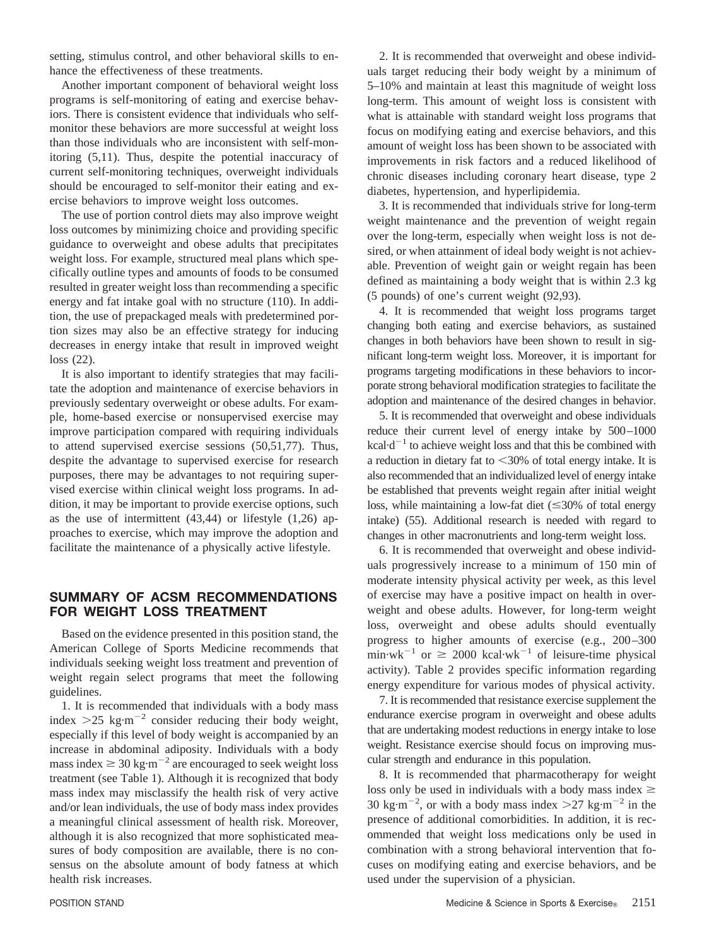setting, stimulus control, and other behavioral skills to enhance the effectiveness of these treatments.

Another important component of behavioral weight loss programs is self-monitoring of eating and exercise behaviors. There is consistent evidence that individuals who selfmonitor these behaviors are more successful at weight loss than those individuals who are inconsistent with self-monitoring (5,11). Thus, despite the potential inaccuracy of current self-monitoring techniques, overweight individuals should be encouraged to self-monitor their eating and exercise behaviors to improve weight loss outcomes.

The use of portion control diets may also improve weight loss outcomes by minimizing choice and providing specific guidance to overweight and obese adults that precipitates weight loss. For example, structured meal plans which specifically outline types and amounts of foods to be consumed resulted in greater weight loss than recommending a specific energy and fat intake goal with no structure (110). In addition, the use of prepackaged meals with predetermined portion sizes may also be an effective strategy for inducing decreases in energy intake that result in improved weight loss (22).

It is also important to identify strategies that may facilitate the adoption and maintenance of exercise behaviors in previously sedentary overweight or obese adults. For example, home-based exercise or nonsupervised exercise may improve participation compared with requiring individuals to attend supervised exercise sessions (50,51,77). Thus, despite the advantage to supervised exercise for research purposes, there may be advantages to not requiring supervised exercise within clinical weight loss programs. In addition, it may be important to provide exercise options, such as the use of intermittent  $(43,44)$  or lifestyle  $(1,26)$  approaches to exercise, which may improve the adoption and facilitate the maintenance of a physically active lifestyle.

#### **SUMMARY OF ACSM RECOMMENDATIONS FOR WEIGHT LOSS TREATMENT**

Based on the evidence presented in this position stand, the American College of Sports Medicine recommends that individuals seeking weight loss treatment and prevention of weight regain select programs that meet the following guidelines.

1. It is recommended that individuals with a body mass index  $>25$  kg·m<sup>-2</sup> consider reducing their body weight, especially if this level of body weight is accompanied by an increase in abdominal adiposity. Individuals with a body mass index  $\geq 30 \text{ kg} \cdot \text{m}^{-2}$  are encouraged to seek weight loss treatment (see Table 1). Although it is recognized that body mass index may misclassify the health risk of very active and/or lean individuals, the use of body mass index provides a meaningful clinical assessment of health risk. Moreover, although it is also recognized that more sophisticated measures of body composition are available, there is no consensus on the absolute amount of body fatness at which health risk increases.

2. It is recommended that overweight and obese individuals target reducing their body weight by a minimum of 5–10% and maintain at least this magnitude of weight loss long-term. This amount of weight loss is consistent with what is attainable with standard weight loss programs that focus on modifying eating and exercise behaviors, and this amount of weight loss has been shown to be associated with improvements in risk factors and a reduced likelihood of chronic diseases including coronary heart disease, type 2 diabetes, hypertension, and hyperlipidemia.

3. It is recommended that individuals strive for long-term weight maintenance and the prevention of weight regain over the long-term, especially when weight loss is not desired, or when attainment of ideal body weight is not achievable. Prevention of weight gain or weight regain has been defined as maintaining a body weight that is within 2.3 kg (5 pounds) of one's current weight (92,93).

4. It is recommended that weight loss programs target changing both eating and exercise behaviors, as sustained changes in both behaviors have been shown to result in significant long-term weight loss. Moreover, it is important for programs targeting modifications in these behaviors to incorporate strong behavioral modification strategies to facilitate the adoption and maintenance of the desired changes in behavior.

5. It is recommended that overweight and obese individuals reduce their current level of energy intake by 500–1000 kcal $d^{-1}$  to achieve weight loss and that this be combined with a reduction in dietary fat to  $<$ 30% of total energy intake. It is also recommended that an individualized level of energy intake be established that prevents weight regain after initial weight loss, while maintaining a low-fat diet  $(\leq 30\%$  of total energy intake) (55). Additional research is needed with regard to changes in other macronutrients and long-term weight loss.

6. It is recommended that overweight and obese individuals progressively increase to a minimum of 150 min of moderate intensity physical activity per week, as this level of exercise may have a positive impact on health in overweight and obese adults. However, for long-term weight loss, overweight and obese adults should eventually progress to higher amounts of exercise (e.g., 200–300 min·wk<sup>-1</sup> or  $\geq$  2000 kcal·wk<sup>-1</sup> of leisure-time physical activity). Table 2 provides specific information regarding energy expenditure for various modes of physical activity.

7. It is recommended that resistance exercise supplement the endurance exercise program in overweight and obese adults that are undertaking modest reductions in energy intake to lose weight. Resistance exercise should focus on improving muscular strength and endurance in this population.

8. It is recommended that pharmacotherapy for weight loss only be used in individuals with a body mass index  $\geq$ 30 kg·m<sup>-2</sup>, or with a body mass index  $>$ 27 kg·m<sup>-2</sup> in the presence of additional comorbidities. In addition, it is recommended that weight loss medications only be used in combination with a strong behavioral intervention that focuses on modifying eating and exercise behaviors, and be used under the supervision of a physician.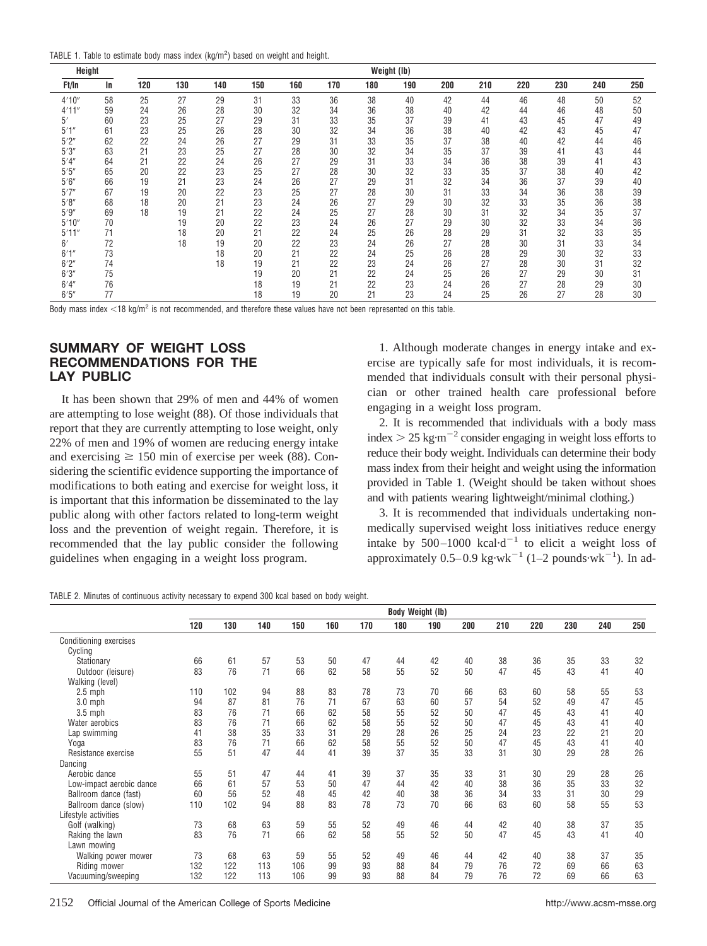TABLE 1. Table to estimate body mass index ( $kg/m<sup>2</sup>$ ) based on weight and height.

| Height |    | Weight (lb) |     |     |     |     |     |     |     |     |     |     |     |     |     |
|--------|----|-------------|-----|-----|-----|-----|-----|-----|-----|-----|-----|-----|-----|-----|-----|
| Ft/In  | In | 120         | 130 | 140 | 150 | 160 | 170 | 180 | 190 | 200 | 210 | 220 | 230 | 240 | 250 |
| 4'10'' | 58 | 25          | 27  | 29  | 31  | 33  | 36  | 38  | 40  | 42  | 44  | 46  | 48  | 50  | 52  |
| 4'11'' | 59 | 24          | 26  | 28  | 30  | 32  | 34  | 36  | 38  | 40  | 42  | 44  | 46  | 48  | 50  |
| 5'     | 60 | 23          | 25  | 27  | 29  | 31  | 33  | 35  | 37  | 39  | 41  | 43  | 45  | 47  | 49  |
| 5'1''  | 61 | 23          | 25  | 26  | 28  | 30  | 32  | 34  | 36  | 38  | 40  | 42  | 43  | 45  | 47  |
| 5'2''  | 62 | 22          | 24  | 26  | 27  | 29  | 31  | 33  | 35  | 37  | 38  | 40  | 42  | 44  | 46  |
| 5'3''  | 63 | 21          | 23  | 25  | 27  | 28  | 30  | 32  | 34  | 35  | 37  | 39  | 41  | 43  | 44  |
| 5'4''  | 64 | 21          | 22  | 24  | 26  | 27  | 29  | 31  | 33  | 34  | 36  | 38  | 39  | 41  | 43  |
| 5'5''  | 65 | 20          | 22  | 23  | 25  | 27  | 28  | 30  | 32  | 33  | 35  | 37  | 38  | 40  | 42  |
| 5'6''  | 66 | 19          | 21  | 23  | 24  | 26  | 27  | 29  | 31  | 32  | 34  | 36  | 37  | 39  | 40  |
| 5'7''  | 67 | 19          | 20  | 22  | 23  | 25  | 27  | 28  | 30  | 31  | 33  | 34  | 36  | 38  | 39  |
| 5'8''  | 68 | 18          | 20  | 21  | 23  | 24  | 26  | 27  | 29  | 30  | 32  | 33  | 35  | 36  | 38  |
| 5'9''  | 69 | 18          | 19  | 21  | 22  | 24  | 25  | 27  | 28  | 30  | 31  | 32  | 34  | 35  | 37  |
| 5'10'' | 70 |             | 19  | 20  | 22  | 23  | 24  | 26  | 27  | 29  | 30  | 32  | 33  | 34  | 36  |
| 5'11'' | 71 |             | 18  | 20  | 21  | 22  | 24  | 25  | 26  | 28  | 29  | 31  | 32  | 33  | 35  |
| 6'     | 72 |             | 18  | 19  | 20  | 22  | 23  | 24  | 26  | 27  | 28  | 30  | 31  | 33  | 34  |
| 6'1''  | 73 |             |     | 18  | 20  | 21  | 22  | 24  | 25  | 26  | 28  | 29  | 30  | 32  | 33  |
| 6'2''  | 74 |             |     | 18  | 19  | 21  | 22  | 23  | 24  | 26  | 27  | 28  | 30  | 31  | 32  |
| 6'3''  | 75 |             |     |     | 19  | 20  | 21  | 22  | 24  | 25  | 26  | 27  | 29  | 30  | 31  |
| 6'4''  | 76 |             |     |     | 18  | 19  | 21  | 22  | 23  | 24  | 26  | 27  | 28  | 29  | 30  |
| 6'5''  | 77 |             |     |     | 18  | 19  | 20  | 21  | 23  | 24  | 25  | 26  | 27  | 28  | 30  |

Body mass index  $\langle 18 \text{ kg/m}^2 \rangle$  is not recommended, and therefore these values have not been represented on this table.

### **SUMMARY OF WEIGHT LOSS RECOMMENDATIONS FOR THE LAY PUBLIC**

It has been shown that 29% of men and 44% of women are attempting to lose weight (88). Of those individuals that report that they are currently attempting to lose weight, only 22% of men and 19% of women are reducing energy intake and exercising  $\geq 150$  min of exercise per week (88). Considering the scientific evidence supporting the importance of modifications to both eating and exercise for weight loss, it is important that this information be disseminated to the lay public along with other factors related to long-term weight loss and the prevention of weight regain. Therefore, it is recommended that the lay public consider the following guidelines when engaging in a weight loss program.

1. Although moderate changes in energy intake and exercise are typically safe for most individuals, it is recommended that individuals consult with their personal physician or other trained health care professional before engaging in a weight loss program.

2. It is recommended that individuals with a body mass index  $> 25 \text{ kg} \cdot \text{m}^{-2}$  consider engaging in weight loss efforts to reduce their body weight. Individuals can determine their body mass index from their height and weight using the information provided in Table 1. (Weight should be taken without shoes and with patients wearing lightweight/minimal clothing.)

3. It is recommended that individuals undertaking nonmedically supervised weight loss initiatives reduce energy intake by  $500-1000$  kcal·d<sup>-1</sup> to elicit a weight loss of approximately  $0.5-0.9 \text{ kg·wk}^{-1}$  (1-2 pounds $\cdot \text{wk}^{-1}$ ). In ad-

TABLE 2. Minutes of continuous activity necessary to expend 300 kcal based on body weight.

|                                   | Body Weight (Ib) |     |     |     |     |     |     |     |     |     |     |     |     |     |
|-----------------------------------|------------------|-----|-----|-----|-----|-----|-----|-----|-----|-----|-----|-----|-----|-----|
|                                   | 120              | 130 | 140 | 150 | 160 | 170 | 180 | 190 | 200 | 210 | 220 | 230 | 240 | 250 |
| Conditioning exercises<br>Cycling |                  |     |     |     |     |     |     |     |     |     |     |     |     |     |
| Stationary                        | 66               | 61  | 57  | 53  | 50  | 47  | 44  | 42  | 40  | 38  | 36  | 35  | 33  | 32  |
| Outdoor (leisure)                 | 83               | 76  | 71  | 66  | 62  | 58  | 55  | 52  | 50  | 47  | 45  | 43  | 41  | 40  |
| Walking (level)                   |                  |     |     |     |     |     |     |     |     |     |     |     |     |     |
| $2.5$ mph                         | 110              | 102 | 94  | 88  | 83  | 78  | 73  | 70  | 66  | 63  | 60  | 58  | 55  | 53  |
| $3.0$ mph                         | 94               | 87  | 81  | 76  | 71  | 67  | 63  | 60  | 57  | 54  | 52  | 49  | 47  | 45  |
| $3.5$ mph                         | 83               | 76  | 71  | 66  | 62  | 58  | 55  | 52  | 50  | 47  | 45  | 43  | 41  | 40  |
| Water aerobics                    | 83               | 76  | 71  | 66  | 62  | 58  | 55  | 52  | 50  | 47  | 45  | 43  | 41  | 40  |
| Lap swimming                      | 41               | 38  | 35  | 33  | 31  | 29  | 28  | 26  | 25  | 24  | 23  | 22  | 21  | 20  |
| Yoga                              | 83               | 76  | 71  | 66  | 62  | 58  | 55  | 52  | 50  | 47  | 45  | 43  | 41  | 40  |
| Resistance exercise               | 55               | 51  | 47  | 44  | 41  | 39  | 37  | 35  | 33  | 31  | 30  | 29  | 28  | 26  |
| Dancing                           |                  |     |     |     |     |     |     |     |     |     |     |     |     |     |
| Aerobic dance                     | 55               | 51  | 47  | 44  | 41  | 39  | 37  | 35  | 33  | 31  | 30  | 29  | 28  | 26  |
| Low-impact aerobic dance          | 66               | 61  | 57  | 53  | 50  | 47  | 44  | 42  | 40  | 38  | 36  | 35  | 33  | 32  |
| Ballroom dance (fast)             | 60               | 56  | 52  | 48  | 45  | 42  | 40  | 38  | 36  | 34  | 33  | 31  | 30  | 29  |
| Ballroom dance (slow)             | 110              | 102 | 94  | 88  | 83  | 78  | 73  | 70  | 66  | 63  | 60  | 58  | 55  | 53  |
| Lifestyle activities              |                  |     |     |     |     |     |     |     |     |     |     |     |     |     |
| Golf (walking)                    | 73               | 68  | 63  | 59  | 55  | 52  | 49  | 46  | 44  | 42  | 40  | 38  | 37  | 35  |
| Raking the lawn                   | 83               | 76  | 71  | 66  | 62  | 58  | 55  | 52  | 50  | 47  | 45  | 43  | 41  | 40  |
| Lawn mowing                       |                  |     |     |     |     |     |     |     |     |     |     |     |     |     |
| Walking power mower               | 73               | 68  | 63  | 59  | 55  | 52  | 49  | 46  | 44  | 42  | 40  | 38  | 37  | 35  |
| Riding mower                      | 132              | 122 | 113 | 106 | 99  | 93  | 88  | 84  | 79  | 76  | 72  | 69  | 66  | 63  |
| Vacuuming/sweeping                | 132              | 122 | 113 | 106 | 99  | 93  | 88  | 84  | 79  | 76  | 72  | 69  | 66  | 63  |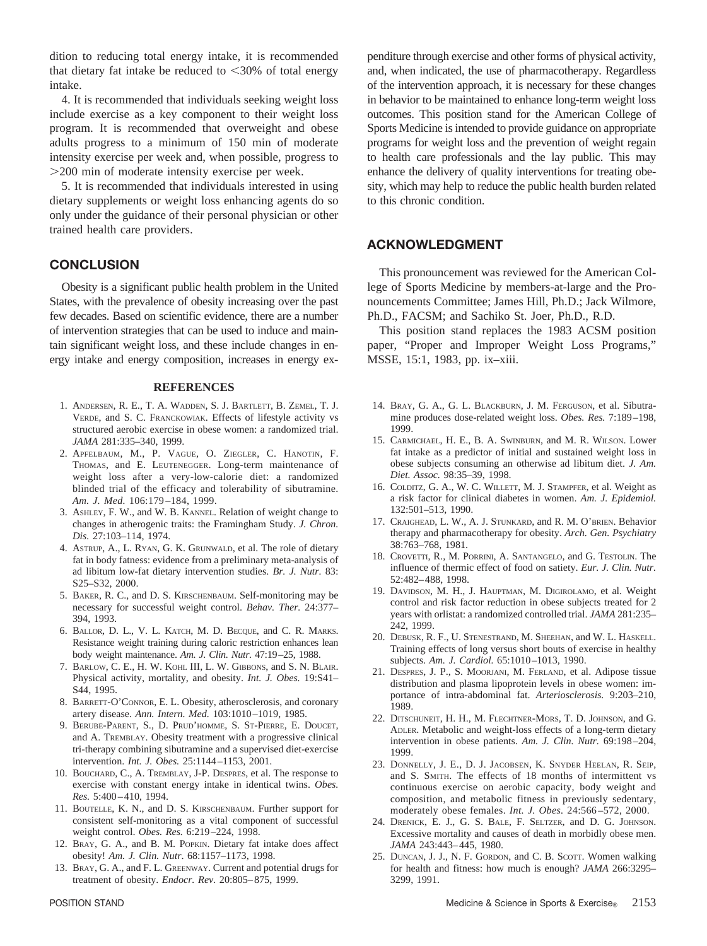dition to reducing total energy intake, it is recommended that dietary fat intake be reduced to  $\leq$ 30% of total energy intake.

4. It is recommended that individuals seeking weight loss include exercise as a key component to their weight loss program. It is recommended that overweight and obese adults progress to a minimum of 150 min of moderate intensity exercise per week and, when possible, progress to 200 min of moderate intensity exercise per week.

5. It is recommended that individuals interested in using dietary supplements or weight loss enhancing agents do so only under the guidance of their personal physician or other trained health care providers.

#### **CONCLUSION**

Obesity is a significant public health problem in the United States, with the prevalence of obesity increasing over the past few decades. Based on scientific evidence, there are a number of intervention strategies that can be used to induce and maintain significant weight loss, and these include changes in energy intake and energy composition, increases in energy ex-

#### **REFERENCES**

- 1. ANDERSEN, R. E., T. A. WADDEN, S. J. BARTLETT, B. ZEMEL, T. J. VERDE, and S. C. FRANCKOWIAK. Effects of lifestyle activity vs structured aerobic exercise in obese women: a randomized trial. *JAMA* 281:335–340, 1999.
- 2. APFELBAUM, M., P. VAGUE, O. ZIEGLER, C. HANOTIN, F. THOMAS, and E. LEUTENEGGER. Long-term maintenance of weight loss after a very-low-calorie diet: a randomized blinded trial of the efficacy and tolerability of sibutramine. *Am. J. Med.* 106:179 –184, 1999.
- 3. ASHLEY, F. W., and W. B. KANNEL. Relation of weight change to changes in atherogenic traits: the Framingham Study. *J. Chron. Dis.* 27:103–114, 1974.
- 4. ASTRUP, A., L. RYAN, G. K. GRUNWALD, et al. The role of dietary fat in body fatness: evidence from a preliminary meta-analysis of ad libitum low-fat dietary intervention studies. *Br. J. Nutr.* 83: S25–S32, 2000.
- 5. BAKER, R. C., and D. S. KIRSCHENBAUM. Self-monitoring may be necessary for successful weight control. *Behav. Ther.* 24:377– 394, 1993.
- 6. BALLOR, D. L., V. L. KATCH, M. D. BECQUE, and C. R. MARKS. Resistance weight training during caloric restriction enhances lean body weight maintenance. *Am. J. Clin. Nutr.* 47:19–25, 1988.
- 7. BARLOW, C. E., H. W. KOHL III, L. W. GIBBONS, and S. N. BLAIR. Physical activity, mortality, and obesity. *Int. J. Obes.* 19:S41– S44, 1995.
- 8. BARRETT-O'CONNOR, E. L. Obesity, atherosclerosis, and coronary artery disease. *Ann. Intern. Med.* 103:1010–1019, 1985.
- 9. BERUBE-PARENT, S., D. PRUD'HOMME, S. ST-PIERRE, E. DOUCET, and A. TREMBLAY. Obesity treatment with a progressive clinical tri-therapy combining sibutramine and a supervised diet-exercise intervention. *Int. J. Obes.* 25:1144–1153, 2001.
- 10. BOUCHARD, C., A. TREMBLAY, J-P. DESPRES, et al. The response to exercise with constant energy intake in identical twins. *Obes. Res.* 5:400–410, 1994.
- 11. BOUTELLE, K. N., and D. S. KIRSCHENBAUM. Further support for consistent self-monitoring as a vital component of successful weight control. *Obes. Res.* 6:219–224, 1998.
- 12. BRAY, G. A., and B. M. POPKIN. Dietary fat intake does affect obesity! *Am. J. Clin. Nutr*. 68:1157–1173, 1998.
- 13. BRAY, G. A., and F. L. GREENWAY. Current and potential drugs for treatment of obesity. *Endocr. Rev.* 20:805–875, 1999.

penditure through exercise and other forms of physical activity, and, when indicated, the use of pharmacotherapy. Regardless of the intervention approach, it is necessary for these changes in behavior to be maintained to enhance long-term weight loss outcomes. This position stand for the American College of Sports Medicine is intended to provide guidance on appropriate programs for weight loss and the prevention of weight regain to health care professionals and the lay public. This may enhance the delivery of quality interventions for treating obesity, which may help to reduce the public health burden related to this chronic condition.

#### **ACKNOWLEDGMENT**

This pronouncement was reviewed for the American College of Sports Medicine by members-at-large and the Pronouncements Committee; James Hill, Ph.D.; Jack Wilmore, Ph.D., FACSM; and Sachiko St. Joer, Ph.D., R.D.

This position stand replaces the 1983 ACSM position paper, "Proper and Improper Weight Loss Programs," MSSE, 15:1, 1983, pp. ix–xiii.

- 14. BRAY, G. A., G. L. BLACKBURN, J. M. FERGUSON, et al. Sibutramine produces dose-related weight loss. *Obes. Res.* 7:189–198, 1999.
- 15. CARMICHAEL, H. E., B. A. SWINBURN, and M. R. WILSON. Lower fat intake as a predictor of initial and sustained weight loss in obese subjects consuming an otherwise ad libitum diet. *J. Am. Diet. Assoc.* 98:35–39, 1998.
- 16. COLDITZ, G. A., W. C. WILLETT, M. J. STAMPFER, et al. Weight as a risk factor for clinical diabetes in women. *Am. J. Epidemiol.* 132:501–513, 1990.
- 17. CRAIGHEAD, L. W., A. J. STUNKARD, and R. M. O'BRIEN. Behavior therapy and pharmacotherapy for obesity. *Arch. Gen. Psychiatry* 38:763–768, 1981.
- 18. CROVETTI, R., M. PORRINI, A. SANTANGELO, and G. TESTOLIN. The influence of thermic effect of food on satiety. *Eur. J. Clin. Nutr.* 52:482–488, 1998.
- 19. DAVIDSON, M. H., J. HAUPTMAN, M. DIGIROLAMO, et al. Weight control and risk factor reduction in obese subjects treated for 2 years with orlistat: a randomized controlled trial. *JAMA* 281:235– 242, 1999.
- 20. DEBUSK, R. F., U. STENESTRAND, M. SHEEHAN, and W. L. HASKELL. Training effects of long versus short bouts of exercise in healthy subjects. *Am. J. Cardiol.* 65:1010–1013, 1990.
- 21. DESPRES, J. P., S. MOORJANI, M. FERLAND, et al. Adipose tissue distribution and plasma lipoprotein levels in obese women: importance of intra-abdominal fat. *Arteriosclerosis.* 9:203–210, 1989.
- 22. DITSCHUNEIT, H. H., M. FLECHTNER-MORS, T. D. JOHNSON, and G. ADLER. Metabolic and weight-loss effects of a long-term dietary intervention in obese patients. *Am. J. Clin. Nutr.* 69:198–204, 1999.
- 23. DONNELLY, J. E., D. J. JACOBSEN, K. SNYDER HEELAN, R. SEIP, and S. SMITH. The effects of 18 months of intermittent vs continuous exercise on aerobic capacity, body weight and composition, and metabolic fitness in previously sedentary, moderately obese females. *Int. J. Obes.* 24:566 –572, 2000.
- 24. DRENICK, E. J., G. S. BALE, F. SELTZER, and D. G. JOHNSON. Excessive mortality and causes of death in morbidly obese men. *JAMA* 243:443–445, 1980.
- 25. DUNCAN, J. J., N. F. GORDON, and C. B. SCOTT. Women walking for health and fitness: how much is enough? *JAMA* 266:3295– 3299, 1991.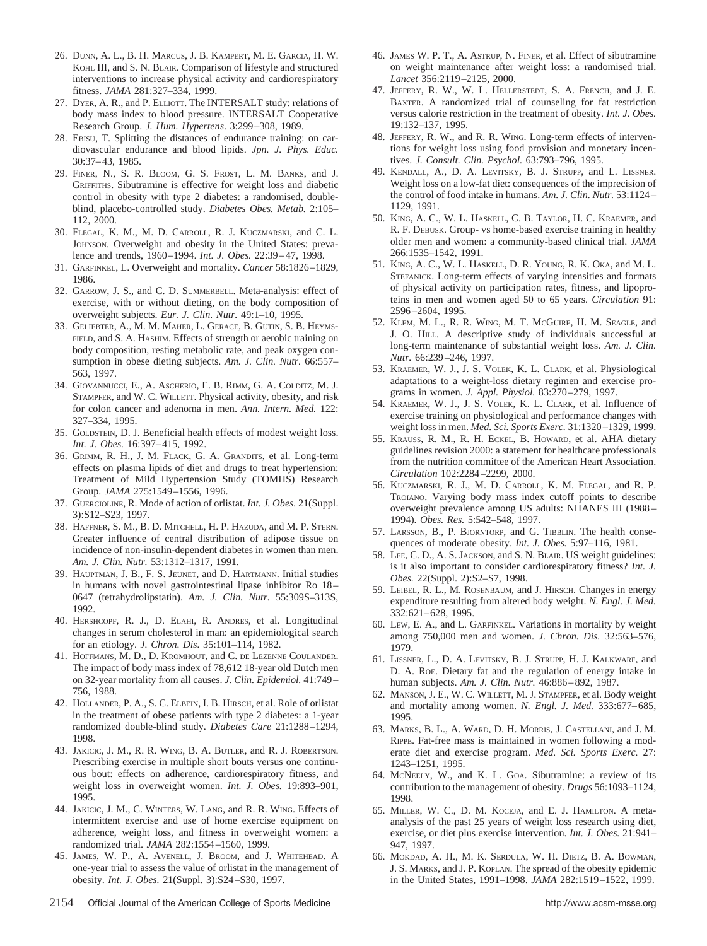- 26. DUNN, A. L., B. H. MARCUS, J. B. KAMPERT, M. E. GARCIA, H. W. KOHL III, and S. N. BLAIR. Comparison of lifestyle and structured interventions to increase physical activity and cardiorespiratory fitness. *JAMA* 281:327–334, 1999.
- 27. DYER, A. R., and P. ELLIOTT. The INTERSALT study: relations of body mass index to blood pressure. INTERSALT Cooperative Research Group. *J. Hum. Hypertens*. 3:299–308, 1989.
- 28. EBISU, T. Splitting the distances of endurance training: on cardiovascular endurance and blood lipids. *Jpn. J. Phys. Educ.* 30:37–43, 1985.
- 29. FINER, N., S. R. BLOOM, G. S. FROST, L. M. BANKS, and J. GRIFFITHS. Sibutramine is effective for weight loss and diabetic control in obesity with type 2 diabetes: a randomised, doubleblind, placebo-controlled study. *Diabetes Obes. Metab.* 2:105– 112, 2000.
- 30. FLEGAL, K. M., M. D. CARROLL, R. J. KUCZMARSKI, and C. L. JOHNSON. Overweight and obesity in the United States: prevalence and trends, 1960–1994. *Int. J. Obes.* 22:39–47, 1998.
- 31. GARFINKEL, L. Overweight and mortality. *Cancer* 58:1826–1829, 1986.
- 32. GARROW, J. S., and C. D. SUMMERBELL. Meta-analysis: effect of exercise, with or without dieting, on the body composition of overweight subjects. *Eur. J. Clin. Nutr.* 49:1–10, 1995.
- 33. GELIEBTER, A., M. M. MAHER, L. GERACE, B. GUTIN, S. B. HEYMS-FIELD, and S. A. HASHIM. Effects of strength or aerobic training on body composition, resting metabolic rate, and peak oxygen consumption in obese dieting subjects. *Am. J. Clin. Nutr.* 66:557– 563, 1997.
- 34. GIOVANNUCCI, E., A. ASCHERIO, E. B. RIMM, G. A. COLDITZ, M. J. STAMPFER, and W. C. WILLETT. Physical activity, obesity, and risk for colon cancer and adenoma in men. *Ann. Intern. Med.* 122: 327–334, 1995.
- 35. GOLDSTEIN, D. J. Beneficial health effects of modest weight loss. *Int. J. Obes.* 16:397–415, 1992.
- 36. GRIMM, R. H., J. M. FLACK, G. A. GRANDITS, et al. Long-term effects on plasma lipids of diet and drugs to treat hypertension: Treatment of Mild Hypertension Study (TOMHS) Research Group. *JAMA* 275:1549–1556, 1996.
- 37. GUERCIOLINE, R. Mode of action of orlistat. *Int. J. Obes.* 21(Suppl. 3):S12–S23, 1997.
- 38. HAFFNER, S. M., B. D. MITCHELL, H. P. HAZUDA, and M. P. STERN. Greater influence of central distribution of adipose tissue on incidence of non-insulin-dependent diabetes in women than men. *Am. J. Clin. Nutr.* 53:1312–1317, 1991.
- 39. HAUPTMAN, J. B., F. S. JEUNET, and D. HARTMANN. Initial studies in humans with novel gastrointestinal lipase inhibitor Ro 18– 0647 (tetrahydrolipstatin). *Am. J. Clin. Nutr.* 55:309S–313S, 1992.
- 40. HERSHCOPF, R. J., D. ELAHI, R. ANDRES, et al. Longitudinal changes in serum cholesterol in man: an epidemiological search for an etiology. *J. Chron. Dis.* 35:101–114, 1982.
- 41. HOFFMANS, M. D., D. KROMHOUT, and C. DE LEZENNE COULANDER. The impact of body mass index of 78,612 18-year old Dutch men on 32-year mortality from all causes. *J. Clin. Epidemiol.* 41:749– 756, 1988.
- 42. HOLLANDER, P. A., S. C. ELBEIN, I. B. HIRSCH, et al. Role of orlistat in the treatment of obese patients with type 2 diabetes: a 1-year randomized double-blind study. *Diabetes Care* 21:1288–1294, 1998.
- 43. JAKICIC, J. M., R. R. WING, B. A. BUTLER, and R. J. ROBERTSON. Prescribing exercise in multiple short bouts versus one continuous bout: effects on adherence, cardiorespiratory fitness, and weight loss in overweight women. *Int. J. Obes.* 19:893–901, 1995.
- 44. JAKICIC, J. M., C. WINTERS, W. LANG, and R. R. WING. Effects of intermittent exercise and use of home exercise equipment on adherence, weight loss, and fitness in overweight women: a randomized trial. *JAMA* 282:1554–1560, 1999.
- 45. JAMES, W. P., A. AVENELL, J. BROOM, and J. WHITEHEAD. A one-year trial to assess the value of orlistat in the management of obesity. *Int. J. Obes.* 21(Suppl. 3):S24–S30, 1997.
- 46. JAMES W. P. T., A. ASTRUP, N. FINER, et al. Effect of sibutramine on weight maintenance after weight loss: a randomised trial. *Lancet* 356:2119–2125, 2000.
- 47. JEFFERY, R. W., W. L. HELLERSTEDT, S. A. FRENCH, and J. E. BAXTER. A randomized trial of counseling for fat restriction versus calorie restriction in the treatment of obesity. *Int. J. Obes.* 19:132–137, 1995.
- 48. JEFFERY, R. W., and R. R. WING. Long-term effects of interventions for weight loss using food provision and monetary incentives. *J. Consult. Clin. Psychol.* 63:793–796, 1995.
- 49. KENDALL, A., D. A. LEVITSKY, B. J. STRUPP, and L. LISSNER. Weight loss on a low-fat diet: consequences of the imprecision of the control of food intake in humans. *Am. J. Clin. Nutr.* 53:1124– 1129, 1991.
- 50. KING, A. C., W. L. HASKELL, C. B. TAYLOR, H. C. KRAEMER, and R. F. DEBUSK. Group- vs home-based exercise training in healthy older men and women: a community-based clinical trial. *JAMA* 266:1535–1542, 1991.
- 51. KING, A. C., W. L. HASKELL, D. R. YOUNG, R. K. OKA, and M. L. STEFANICK. Long-term effects of varying intensities and formats of physical activity on participation rates, fitness, and lipoproteins in men and women aged 50 to 65 years. *Circulation* 91: 2596–2604, 1995.
- 52. KLEM, M. L., R. R. WING, M. T. MCGUIRE, H. M. SEAGLE, and J. O. HILL. A descriptive study of individuals successful at long-term maintenance of substantial weight loss. *Am. J. Clin. Nutr.* 66:239–246, 1997.
- 53. KRAEMER, W. J., J. S. VOLEK, K. L. CLARK, et al. Physiological adaptations to a weight-loss dietary regimen and exercise programs in women. *J. Appl. Physiol.* 83:270–279, 1997.
- 54. KRAEMER, W. J., J. S. VOLEK, K. L. CLARK, et al. Influence of exercise training on physiological and performance changes with weight loss in men. *Med. Sci. Sports Exerc.* 31:1320–1329, 1999.
- 55. KRAUSS, R. M., R. H. ECKEL, B. HOWARD, et al. AHA dietary guidelines revision 2000: a statement for healthcare professionals from the nutrition committee of the American Heart Association. *Circulation* 102:2284–2299, 2000.
- 56. KUCZMARSKI, R. J., M. D. CARROLL, K. M. FLEGAL, and R. P. TROIANO. Varying body mass index cutoff points to describe overweight prevalence among US adults: NHANES III (1988– 1994). *Obes. Res.* 5:542–548, 1997.
- 57. LARSSON, B., P. BJORNTORP, and G. TIBBLIN. The health consequences of moderate obesity. *Int. J. Obes.* 5:97–116, 1981.
- 58. LEE, C. D., A. S. JACKSON, and S. N. BLAIR. US weight guidelines: is it also important to consider cardiorespiratory fitness? *Int. J. Obes.* 22(Suppl. 2):S2–S7, 1998.
- 59. LEIBEL, R. L., M. ROSENBAUM, and J. HIRSCH. Changes in energy expenditure resulting from altered body weight. *N. Engl. J. Med.* 332:621–628, 1995.
- 60. LEW, E. A., and L. GARFINKEL. Variations in mortality by weight among 750,000 men and women. *J. Chron. Dis.* 32:563–576, 1979.
- 61. LISSNER, L., D. A. LEVITSKY, B. J. STRUPP, H. J. KALKWARF, and D. A. ROE. Dietary fat and the regulation of energy intake in human subjects. *Am. J. Clin. Nutr.* 46:886–892, 1987.
- 62. MANSON, J. E., W. C. WILLETT, M. J. STAMPFER, et al. Body weight and mortality among women. *N. Engl. J. Med.* 333:677–685, 1995.
- 63. MARKS, B. L., A. WARD, D. H. MORRIS, J. CASTELLANI, and J. M. RIPPE. Fat-free mass is maintained in women following a moderate diet and exercise program. *Med. Sci. Sports Exerc.* 27: 1243–1251, 1995.
- 64. MCNEELY, W., and K. L. GOA. Sibutramine: a review of its contribution to the management of obesity. *Drugs* 56:1093–1124, 1998.
- 65. MILLER, W. C., D. M. KOCEJA, and E. J. HAMILTON. A metaanalysis of the past 25 years of weight loss research using diet, exercise, or diet plus exercise intervention. *Int. J. Obes.* 21:941– 947, 1997.
- 66. MOKDAD, A. H., M. K. SERDULA, W. H. DIETZ, B. A. BOWMAN, J. S. MARKS, and J. P. KOPLAN. The spread of the obesity epidemic in the United States, 1991–1998. *JAMA* 282:1519–1522, 1999.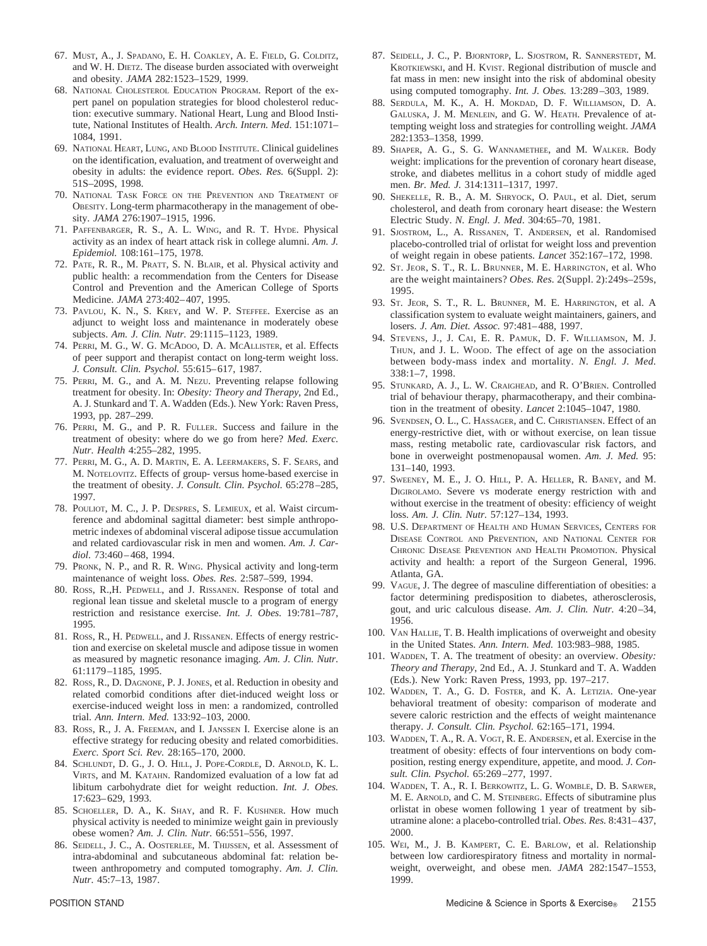- 67. MUST, A., J. SPADANO, E. H. COAKLEY, A. E. FIELD, G. COLDITZ, and W. H. DIETZ. The disease burden associated with overweight and obesity. *JAMA* 282:1523–1529, 1999.
- 68. NATIONAL CHOLESTEROL EDUCATION PROGRAM. Report of the expert panel on population strategies for blood cholesterol reduction: executive summary. National Heart, Lung and Blood Institute, National Institutes of Health. *Arch. Intern. Med*. 151:1071– 1084, 1991.
- 69. NATIONAL HEART, LUNG, AND BLOOD INSTITUTE. Clinical guidelines on the identification, evaluation, and treatment of overweight and obesity in adults: the evidence report. *Obes. Res.* 6(Suppl. 2): 51S–209S, 1998.
- 70. NATIONAL TASK FORCE ON THE PREVENTION AND TREATMENT OF OBESITY. Long-term pharmacotherapy in the management of obesity. *JAMA* 276:1907–1915, 1996.
- 71. PAFFENBARGER, R. S., A. L. WING, and R. T. HYDE. Physical activity as an index of heart attack risk in college alumni. *Am. J. Epidemiol.* 108:161–175, 1978.
- 72. PATE, R. R., M. PRATT, S. N. BLAIR, et al. Physical activity and public health: a recommendation from the Centers for Disease Control and Prevention and the American College of Sports Medicine. *JAMA* 273:402–407, 1995.
- 73. PAVLOU, K. N., S. KREY, and W. P. STEFFEE. Exercise as an adjunct to weight loss and maintenance in moderately obese subjects. *Am. J. Clin. Nutr.* 29:1115–1123, 1989.
- 74. PERRI, M. G., W. G. MCADOO, D. A. MCALLISTER, et al. Effects of peer support and therapist contact on long-term weight loss. *J. Consult. Clin. Psychol.* 55:615–617, 1987.
- 75. PERRI, M. G., and A. M. NEZU. Preventing relapse following treatment for obesity. In: *Obesity: Theory and Therapy*, 2nd Ed., A. J. Stunkard and T. A. Wadden (Eds.). New York: Raven Press, 1993, pp. 287–299.
- 76. PERRI, M. G., and P. R. FULLER. Success and failure in the treatment of obesity: where do we go from here? *Med. Exerc. Nutr. Health* 4:255–282, 1995.
- 77. PERRI, M. G., A. D. MARTIN, E. A. LEERMAKERS, S. F. SEARS, and M. NOTELOVITZ. Effects of group- versus home-based exercise in the treatment of obesity. *J. Consult. Clin. Psychol.* 65:278–285, 1997.
- 78. POULIOT, M. C., J. P. DESPRES, S. LEMIEUX, et al. Waist circumference and abdominal sagittal diameter: best simple anthropometric indexes of abdominal visceral adipose tissue accumulation and related cardiovascular risk in men and women. *Am. J. Cardiol.* 73:460–468, 1994.
- 79. PRONK, N. P., and R. R. WING. Physical activity and long-term maintenance of weight loss. *Obes. Res.* 2:587–599, 1994.
- 80. ROSS, R.,H. PEDWELL, and J. RISSANEN. Response of total and regional lean tissue and skeletal muscle to a program of energy restriction and resistance exercise. *Int. J. Obes.* 19:781–787, 1995.
- 81. ROSS, R., H. PEDWELL, and J. RISSANEN. Effects of energy restriction and exercise on skeletal muscle and adipose tissue in women as measured by magnetic resonance imaging. *Am. J. Clin. Nutr.* 61:1179–1185, 1995.
- 82. ROSS, R., D. DAGNONE, P. J. JONES, et al. Reduction in obesity and related comorbid conditions after diet-induced weight loss or exercise-induced weight loss in men: a randomized, controlled trial. *Ann. Intern. Med.* 133:92–103, 2000.
- 83. ROSS, R., J. A. FREEMAN, and I. JANSSEN I. Exercise alone is an effective strategy for reducing obesity and related comorbidities. *Exerc. Sport Sci. Rev.* 28:165–170, 2000.
- 84. SCHLUNDT, D. G., J. O. HILL, J. POPE-CORDLE, D. ARNOLD, K. L. VIRTS, and M. KATAHN. Randomized evaluation of a low fat ad libitum carbohydrate diet for weight reduction. *Int. J. Obes.* 17:623–629, 1993.
- 85. SCHOELLER, D. A., K. SHAY, and R. F. KUSHNER. How much physical activity is needed to minimize weight gain in previously obese women? *Am. J. Clin. Nutr.* 66:551–556, 1997.
- 86. SEIDELL, J. C., A. OOSTERLEE, M. THIJSSEN, et al. Assessment of intra-abdominal and subcutaneous abdominal fat: relation between anthropometry and computed tomography. *Am. J. Clin. Nutr.* 45:7–13, 1987.
- 87. SEIDELL, J. C., P. BJORNTORP, L. SJOSTROM, R. SANNERSTEDT, M. KROTKIEWSKI, and H. KVIST. Regional distribution of muscle and fat mass in men: new insight into the risk of abdominal obesity using computed tomography. *Int. J. Obes.* 13:289–303, 1989.
- 88. SERDULA, M. K., A. H. MOKDAD, D. F. WILLIAMSON, D. A. GALUSKA, J. M. MENLEIN, and G. W. HEATH. Prevalence of attempting weight loss and strategies for controlling weight. *JAMA* 282:1353–1358, 1999.
- 89. SHAPER, A. G., S. G. WANNAMETHEE, and M. WALKER. Body weight: implications for the prevention of coronary heart disease, stroke, and diabetes mellitus in a cohort study of middle aged men. *Br. Med. J.* 314:1311–1317, 1997.
- 90. SHEKELLE, R. B., A. M. SHRYOCK, O. PAUL, et al. Diet, serum cholesterol, and death from coronary heart disease: the Western Electric Study. *N. Engl. J. Med*. 304:65–70, 1981.
- 91. SJOSTROM, L., A. RISSANEN, T. ANDERSEN, et al. Randomised placebo-controlled trial of orlistat for weight loss and prevention of weight regain in obese patients. *Lancet* 352:167–172, 1998.
- 92. ST. JEOR, S. T., R. L. BRUNNER, M. E. HARRINGTON, et al. Who are the weight maintainers? *Obes. Res.* 2(Suppl. 2):249s–259s, 1995.
- 93. ST. JEOR, S. T., R. L. BRUNNER, M. E. HARRINGTON, et al. A classification system to evaluate weight maintainers, gainers, and losers. *J. Am. Diet. Assoc.* 97:481–488, 1997.
- 94. STEVENS, J., J. CAI, E. R. PAMUK, D. F. WILLIAMSON, M. J. THUN, and J. L. WOOD. The effect of age on the association between body-mass index and mortality. *N. Engl. J. Med.* 338:1–7, 1998.
- 95. STUNKARD, A. J., L. W. CRAIGHEAD, and R. O'BRIEN. Controlled trial of behaviour therapy, pharmacotherapy, and their combination in the treatment of obesity. *Lancet* 2:1045–1047, 1980.
- 96. SVENDSEN, O. L., C. HASSAGER, and C. CHRISTIANSEN. Effect of an energy-restrictive diet, with or without exercise, on lean tissue mass, resting metabolic rate, cardiovascular risk factors, and bone in overweight postmenopausal women. *Am. J. Med.* 95: 131–140, 1993.
- 97. SWEENEY, M. E., J. O. HILL, P. A. HELLER, R. BANEY, and M. DIGIROLAMO. Severe vs moderate energy restriction with and without exercise in the treatment of obesity: efficiency of weight loss. *Am. J. Clin. Nutr.* 57:127–134, 1993.
- 98. U.S. DEPARTMENT OF HEALTH AND HUMAN SERVICES, CENTERS FOR DISEASE CONTROL AND PREVENTION, AND NATIONAL CENTER FOR CHRONIC DISEASE PREVENTION AND HEALTH PROMOTION. Physical activity and health: a report of the Surgeon General, 1996. Atlanta, GA.
- 99. VAGUE, J. The degree of masculine differentiation of obesities: a factor determining predisposition to diabetes, atherosclerosis, gout, and uric calculous disease. *Am. J. Clin. Nutr.* 4:20–34, 1956.
- 100. VAN HALLIE, T. B. Health implications of overweight and obesity in the United States. *Ann. Intern. Med.* 103:983–988, 1985.
- 101. WADDEN, T. A. The treatment of obesity: an overview. *Obesity: Theory and Therapy*, 2nd Ed., A. J. Stunkard and T. A. Wadden (Eds.). New York: Raven Press, 1993, pp. 197–217.
- 102. WADDEN, T. A., G. D. FOSTER, and K. A. LETIZIA. One-year behavioral treatment of obesity: comparison of moderate and severe caloric restriction and the effects of weight maintenance therapy. *J. Consult. Clin. Psychol.* 62:165–171, 1994.
- 103. WADDEN, T. A., R. A. VOGT, R. E. ANDERSEN, et al. Exercise in the treatment of obesity: effects of four interventions on body composition, resting energy expenditure, appetite, and mood. *J. Consult. Clin. Psychol.* 65:269–277, 1997.
- 104. WADDEN, T. A., R. I. BERKOWITZ, L. G. WOMBLE, D. B. SARWER, M. E. ARNOLD, and C. M. STEINBERG. Effects of sibutramine plus orlistat in obese women following 1 year of treatment by sibutramine alone: a placebo-controlled trial. *Obes. Res.* 8:431–437, 2000.
- 105. WEI, M., J. B. KAMPERT, C. E. BARLOW, et al. Relationship between low cardiorespiratory fitness and mortality in normalweight, overweight, and obese men. *JAMA* 282:1547–1553, 1999.